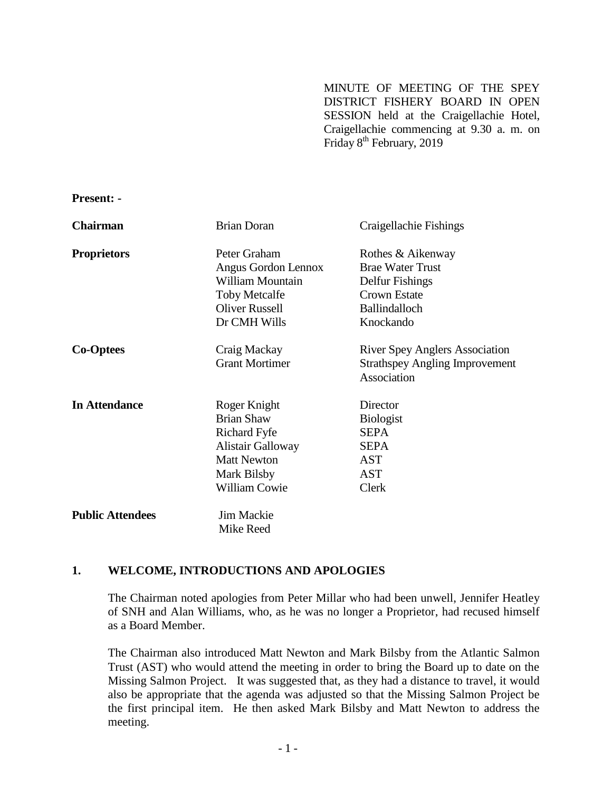MINUTE OF MEETING OF THE SPEY DISTRICT FISHERY BOARD IN OPEN SESSION held at the Craigellachie Hotel, Craigellachie commencing at 9.30 a. m. on Friday 8<sup>th</sup> February, 2019

**Present: -**

| <b>Chairman</b>         | <b>Brian Doran</b>       | Craigellachie Fishings                |
|-------------------------|--------------------------|---------------------------------------|
| <b>Proprietors</b>      | Peter Graham             | Rothes & Aikenway                     |
|                         | Angus Gordon Lennox      | <b>Brae Water Trust</b>               |
|                         | William Mountain         | Delfur Fishings                       |
|                         | <b>Toby Metcalfe</b>     | <b>Crown Estate</b>                   |
|                         | <b>Oliver Russell</b>    | <b>Ballindalloch</b>                  |
|                         | Dr CMH Wills             | Knockando                             |
| <b>Co-Optees</b>        | Craig Mackay             | <b>River Spey Anglers Association</b> |
|                         | <b>Grant Mortimer</b>    | <b>Strathspey Angling Improvement</b> |
|                         |                          | Association                           |
| <b>In Attendance</b>    | Roger Knight             | Director                              |
|                         | <b>Brian Shaw</b>        | <b>Biologist</b>                      |
|                         | Richard Fyfe             | <b>SEPA</b>                           |
|                         | <b>Alistair Galloway</b> | <b>SEPA</b>                           |
|                         | <b>Matt Newton</b>       | <b>AST</b>                            |
|                         | Mark Bilsby              | <b>AST</b>                            |
|                         | <b>William Cowie</b>     | Clerk                                 |
| <b>Public Attendees</b> | Jim Mackie               |                                       |
|                         | Mike Reed                |                                       |

#### **1. WELCOME, INTRODUCTIONS AND APOLOGIES**

The Chairman noted apologies from Peter Millar who had been unwell, Jennifer Heatley of SNH and Alan Williams, who, as he was no longer a Proprietor, had recused himself as a Board Member.

The Chairman also introduced Matt Newton and Mark Bilsby from the Atlantic Salmon Trust (AST) who would attend the meeting in order to bring the Board up to date on the Missing Salmon Project. It was suggested that, as they had a distance to travel, it would also be appropriate that the agenda was adjusted so that the Missing Salmon Project be the first principal item. He then asked Mark Bilsby and Matt Newton to address the meeting.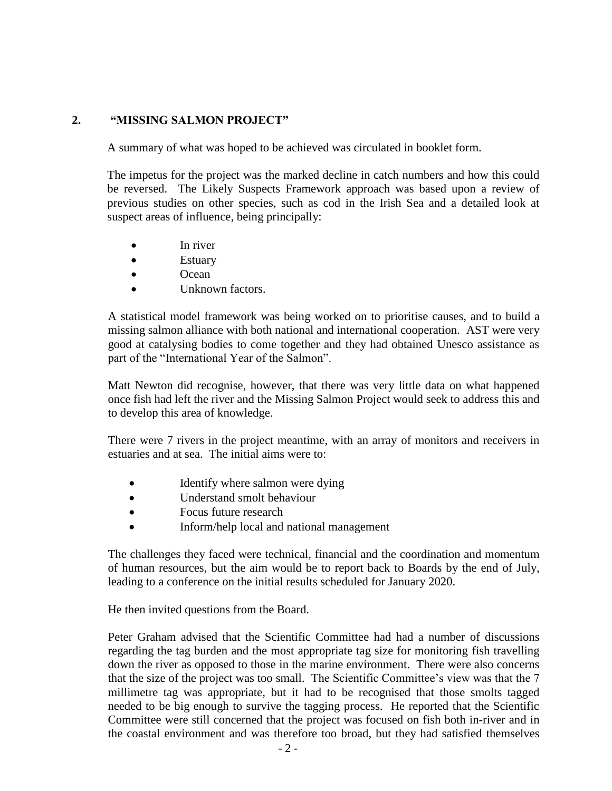## **2. "MISSING SALMON PROJECT"**

A summary of what was hoped to be achieved was circulated in booklet form.

The impetus for the project was the marked decline in catch numbers and how this could be reversed. The Likely Suspects Framework approach was based upon a review of previous studies on other species, such as cod in the Irish Sea and a detailed look at suspect areas of influence, being principally:

- In river
- **Estuary**
- Ocean
- Unknown factors.

A statistical model framework was being worked on to prioritise causes, and to build a missing salmon alliance with both national and international cooperation. AST were very good at catalysing bodies to come together and they had obtained Unesco assistance as part of the "International Year of the Salmon".

Matt Newton did recognise, however, that there was very little data on what happened once fish had left the river and the Missing Salmon Project would seek to address this and to develop this area of knowledge.

There were 7 rivers in the project meantime, with an array of monitors and receivers in estuaries and at sea. The initial aims were to:

- Identify where salmon were dying
- Understand smolt behaviour
- Focus future research
- Inform/help local and national management

The challenges they faced were technical, financial and the coordination and momentum of human resources, but the aim would be to report back to Boards by the end of July, leading to a conference on the initial results scheduled for January 2020.

He then invited questions from the Board.

Peter Graham advised that the Scientific Committee had had a number of discussions regarding the tag burden and the most appropriate tag size for monitoring fish travelling down the river as opposed to those in the marine environment. There were also concerns that the size of the project was too small. The Scientific Committee's view was that the 7 millimetre tag was appropriate, but it had to be recognised that those smolts tagged needed to be big enough to survive the tagging process. He reported that the Scientific Committee were still concerned that the project was focused on fish both in-river and in the coastal environment and was therefore too broad, but they had satisfied themselves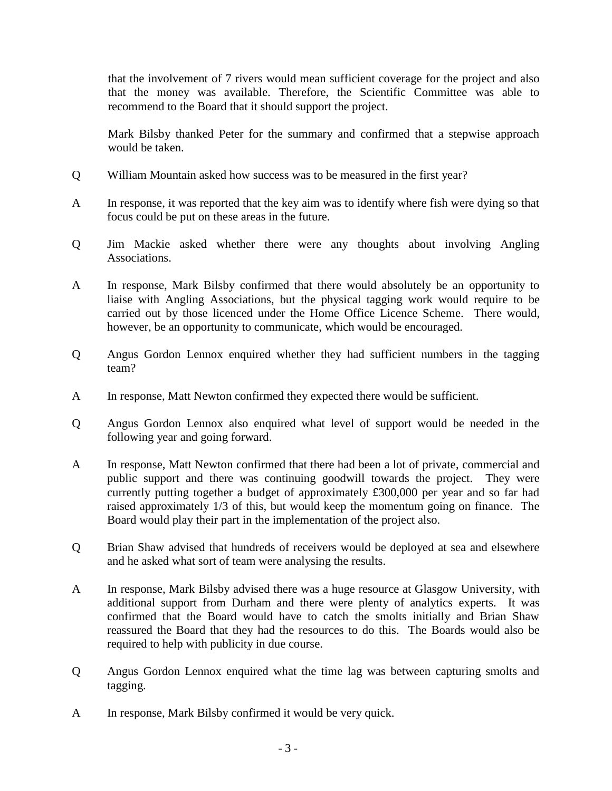that the involvement of 7 rivers would mean sufficient coverage for the project and also that the money was available. Therefore, the Scientific Committee was able to recommend to the Board that it should support the project.

Mark Bilsby thanked Peter for the summary and confirmed that a stepwise approach would be taken.

- Q William Mountain asked how success was to be measured in the first year?
- A In response, it was reported that the key aim was to identify where fish were dying so that focus could be put on these areas in the future.
- Q Jim Mackie asked whether there were any thoughts about involving Angling Associations.
- A In response, Mark Bilsby confirmed that there would absolutely be an opportunity to liaise with Angling Associations, but the physical tagging work would require to be carried out by those licenced under the Home Office Licence Scheme. There would, however, be an opportunity to communicate, which would be encouraged.
- Q Angus Gordon Lennox enquired whether they had sufficient numbers in the tagging team?
- A In response, Matt Newton confirmed they expected there would be sufficient.
- Q Angus Gordon Lennox also enquired what level of support would be needed in the following year and going forward.
- A In response, Matt Newton confirmed that there had been a lot of private, commercial and public support and there was continuing goodwill towards the project. They were currently putting together a budget of approximately £300,000 per year and so far had raised approximately 1/3 of this, but would keep the momentum going on finance. The Board would play their part in the implementation of the project also.
- Q Brian Shaw advised that hundreds of receivers would be deployed at sea and elsewhere and he asked what sort of team were analysing the results.
- A In response, Mark Bilsby advised there was a huge resource at Glasgow University, with additional support from Durham and there were plenty of analytics experts. It was confirmed that the Board would have to catch the smolts initially and Brian Shaw reassured the Board that they had the resources to do this. The Boards would also be required to help with publicity in due course.
- Q Angus Gordon Lennox enquired what the time lag was between capturing smolts and tagging.
- A In response, Mark Bilsby confirmed it would be very quick.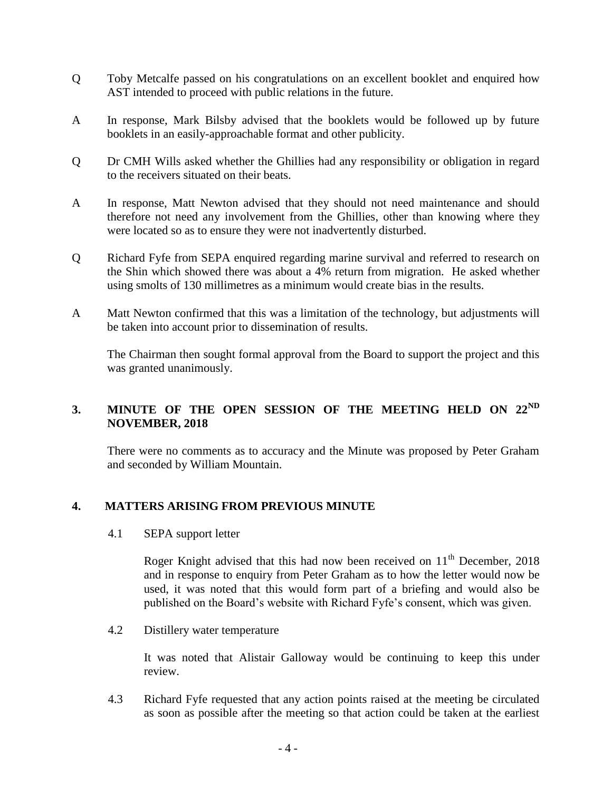- Q Toby Metcalfe passed on his congratulations on an excellent booklet and enquired how AST intended to proceed with public relations in the future.
- A In response, Mark Bilsby advised that the booklets would be followed up by future booklets in an easily-approachable format and other publicity.
- Q Dr CMH Wills asked whether the Ghillies had any responsibility or obligation in regard to the receivers situated on their beats.
- A In response, Matt Newton advised that they should not need maintenance and should therefore not need any involvement from the Ghillies, other than knowing where they were located so as to ensure they were not inadvertently disturbed.
- Q Richard Fyfe from SEPA enquired regarding marine survival and referred to research on the Shin which showed there was about a 4% return from migration. He asked whether using smolts of 130 millimetres as a minimum would create bias in the results.
- A Matt Newton confirmed that this was a limitation of the technology, but adjustments will be taken into account prior to dissemination of results.

The Chairman then sought formal approval from the Board to support the project and this was granted unanimously.

# **3. MINUTE OF THE OPEN SESSION OF THE MEETING HELD ON 22ND NOVEMBER, 2018**

There were no comments as to accuracy and the Minute was proposed by Peter Graham and seconded by William Mountain.

## **4. MATTERS ARISING FROM PREVIOUS MINUTE**

4.1 SEPA support letter

Roger Knight advised that this had now been received on  $11<sup>th</sup>$  December, 2018 and in response to enquiry from Peter Graham as to how the letter would now be used, it was noted that this would form part of a briefing and would also be published on the Board's website with Richard Fyfe's consent, which was given.

4.2 Distillery water temperature

It was noted that Alistair Galloway would be continuing to keep this under review.

4.3 Richard Fyfe requested that any action points raised at the meeting be circulated as soon as possible after the meeting so that action could be taken at the earliest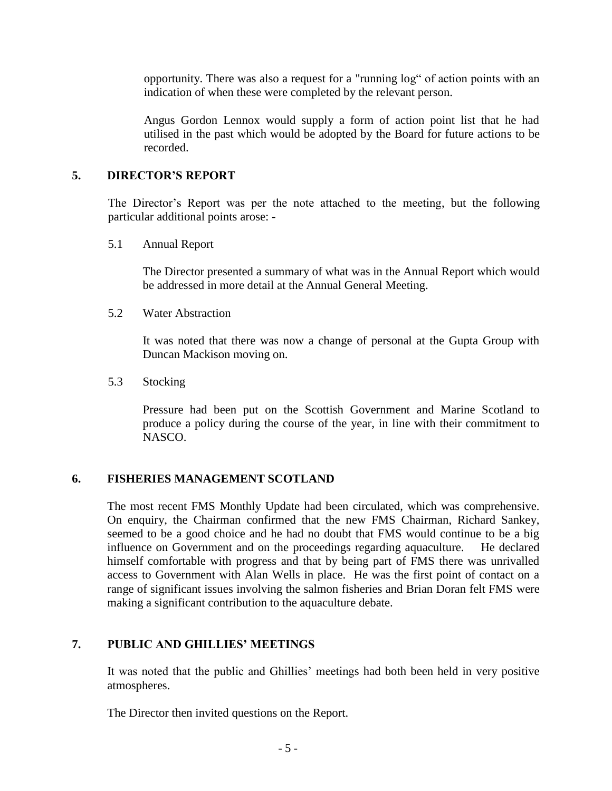opportunity. There was also a request for a "running log" of action points with an indication of when these were completed by the relevant person.

Angus Gordon Lennox would supply a form of action point list that he had utilised in the past which would be adopted by the Board for future actions to be recorded.

### **5. DIRECTOR'S REPORT**

The Director's Report was per the note attached to the meeting, but the following particular additional points arose: -

5.1 Annual Report

The Director presented a summary of what was in the Annual Report which would be addressed in more detail at the Annual General Meeting.

5.2 Water Abstraction

It was noted that there was now a change of personal at the Gupta Group with Duncan Mackison moving on.

5.3 Stocking

Pressure had been put on the Scottish Government and Marine Scotland to produce a policy during the course of the year, in line with their commitment to NASCO.

#### **6. FISHERIES MANAGEMENT SCOTLAND**

The most recent FMS Monthly Update had been circulated, which was comprehensive. On enquiry, the Chairman confirmed that the new FMS Chairman, Richard Sankey, seemed to be a good choice and he had no doubt that FMS would continue to be a big influence on Government and on the proceedings regarding aquaculture. He declared himself comfortable with progress and that by being part of FMS there was unrivalled access to Government with Alan Wells in place. He was the first point of contact on a range of significant issues involving the salmon fisheries and Brian Doran felt FMS were making a significant contribution to the aquaculture debate.

### **7. PUBLIC AND GHILLIES' MEETINGS**

It was noted that the public and Ghillies' meetings had both been held in very positive atmospheres.

The Director then invited questions on the Report.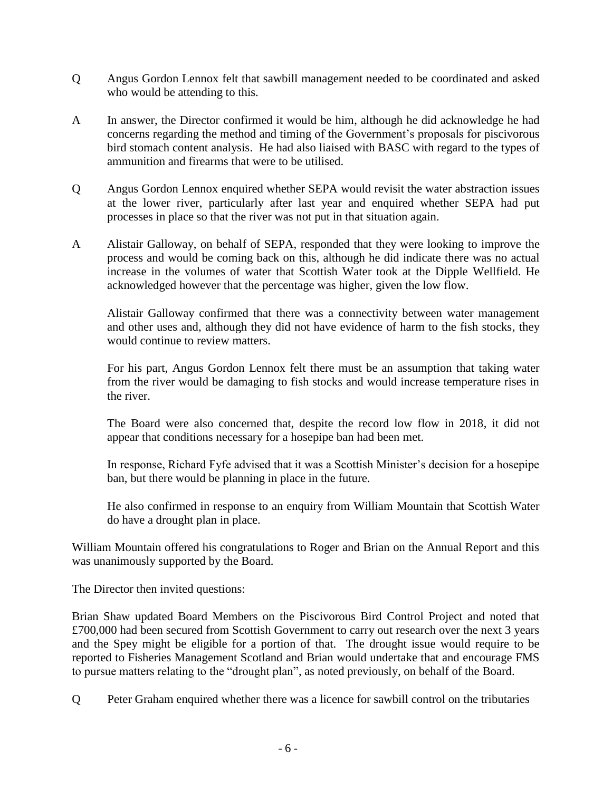- Q Angus Gordon Lennox felt that sawbill management needed to be coordinated and asked who would be attending to this.
- A In answer, the Director confirmed it would be him, although he did acknowledge he had concerns regarding the method and timing of the Government's proposals for piscivorous bird stomach content analysis. He had also liaised with BASC with regard to the types of ammunition and firearms that were to be utilised.
- Q Angus Gordon Lennox enquired whether SEPA would revisit the water abstraction issues at the lower river, particularly after last year and enquired whether SEPA had put processes in place so that the river was not put in that situation again.
- A Alistair Galloway, on behalf of SEPA, responded that they were looking to improve the process and would be coming back on this, although he did indicate there was no actual increase in the volumes of water that Scottish Water took at the Dipple Wellfield. He acknowledged however that the percentage was higher, given the low flow.

Alistair Galloway confirmed that there was a connectivity between water management and other uses and, although they did not have evidence of harm to the fish stocks, they would continue to review matters.

For his part, Angus Gordon Lennox felt there must be an assumption that taking water from the river would be damaging to fish stocks and would increase temperature rises in the river.

The Board were also concerned that, despite the record low flow in 2018, it did not appear that conditions necessary for a hosepipe ban had been met.

In response, Richard Fyfe advised that it was a Scottish Minister's decision for a hosepipe ban, but there would be planning in place in the future.

He also confirmed in response to an enquiry from William Mountain that Scottish Water do have a drought plan in place.

William Mountain offered his congratulations to Roger and Brian on the Annual Report and this was unanimously supported by the Board.

The Director then invited questions:

Brian Shaw updated Board Members on the Piscivorous Bird Control Project and noted that £700,000 had been secured from Scottish Government to carry out research over the next 3 years and the Spey might be eligible for a portion of that. The drought issue would require to be reported to Fisheries Management Scotland and Brian would undertake that and encourage FMS to pursue matters relating to the "drought plan", as noted previously, on behalf of the Board.

Q Peter Graham enquired whether there was a licence for sawbill control on the tributaries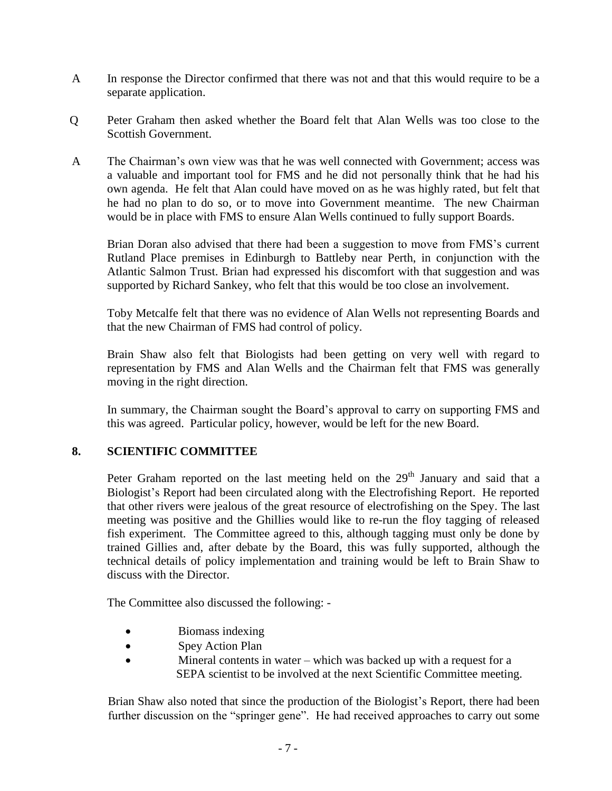- A In response the Director confirmed that there was not and that this would require to be a separate application.
- Q Peter Graham then asked whether the Board felt that Alan Wells was too close to the Scottish Government.
- A The Chairman's own view was that he was well connected with Government; access was a valuable and important tool for FMS and he did not personally think that he had his own agenda. He felt that Alan could have moved on as he was highly rated, but felt that he had no plan to do so, or to move into Government meantime. The new Chairman would be in place with FMS to ensure Alan Wells continued to fully support Boards.

Brian Doran also advised that there had been a suggestion to move from FMS's current Rutland Place premises in Edinburgh to Battleby near Perth, in conjunction with the Atlantic Salmon Trust. Brian had expressed his discomfort with that suggestion and was supported by Richard Sankey, who felt that this would be too close an involvement.

Toby Metcalfe felt that there was no evidence of Alan Wells not representing Boards and that the new Chairman of FMS had control of policy.

Brain Shaw also felt that Biologists had been getting on very well with regard to representation by FMS and Alan Wells and the Chairman felt that FMS was generally moving in the right direction.

In summary, the Chairman sought the Board's approval to carry on supporting FMS and this was agreed. Particular policy, however, would be left for the new Board.

## **8. SCIENTIFIC COMMITTEE**

Peter Graham reported on the last meeting held on the  $29<sup>th</sup>$  January and said that a Biologist's Report had been circulated along with the Electrofishing Report. He reported that other rivers were jealous of the great resource of electrofishing on the Spey. The last meeting was positive and the Ghillies would like to re-run the floy tagging of released fish experiment. The Committee agreed to this, although tagging must only be done by trained Gillies and, after debate by the Board, this was fully supported, although the technical details of policy implementation and training would be left to Brain Shaw to discuss with the Director.

The Committee also discussed the following: -

- Biomass indexing
- Spey Action Plan
- Mineral contents in water which was backed up with a request for a SEPA scientist to be involved at the next Scientific Committee meeting.

Brian Shaw also noted that since the production of the Biologist's Report, there had been further discussion on the "springer gene". He had received approaches to carry out some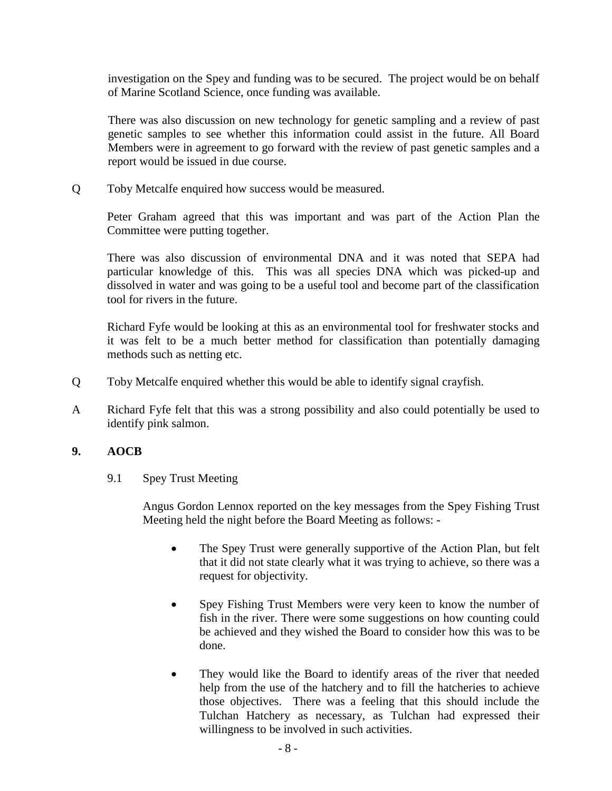investigation on the Spey and funding was to be secured. The project would be on behalf of Marine Scotland Science, once funding was available.

There was also discussion on new technology for genetic sampling and a review of past genetic samples to see whether this information could assist in the future. All Board Members were in agreement to go forward with the review of past genetic samples and a report would be issued in due course.

Q Toby Metcalfe enquired how success would be measured.

Peter Graham agreed that this was important and was part of the Action Plan the Committee were putting together.

There was also discussion of environmental DNA and it was noted that SEPA had particular knowledge of this. This was all species DNA which was picked-up and dissolved in water and was going to be a useful tool and become part of the classification tool for rivers in the future.

Richard Fyfe would be looking at this as an environmental tool for freshwater stocks and it was felt to be a much better method for classification than potentially damaging methods such as netting etc.

- Q Toby Metcalfe enquired whether this would be able to identify signal crayfish.
- A Richard Fyfe felt that this was a strong possibility and also could potentially be used to identify pink salmon.

## **9. AOCB**

9.1 Spey Trust Meeting

Angus Gordon Lennox reported on the key messages from the Spey Fishing Trust Meeting held the night before the Board Meeting as follows: -

- The Spey Trust were generally supportive of the Action Plan, but felt that it did not state clearly what it was trying to achieve, so there was a request for objectivity.
- Spey Fishing Trust Members were very keen to know the number of fish in the river. There were some suggestions on how counting could be achieved and they wished the Board to consider how this was to be done.
- They would like the Board to identify areas of the river that needed help from the use of the hatchery and to fill the hatcheries to achieve those objectives. There was a feeling that this should include the Tulchan Hatchery as necessary, as Tulchan had expressed their willingness to be involved in such activities.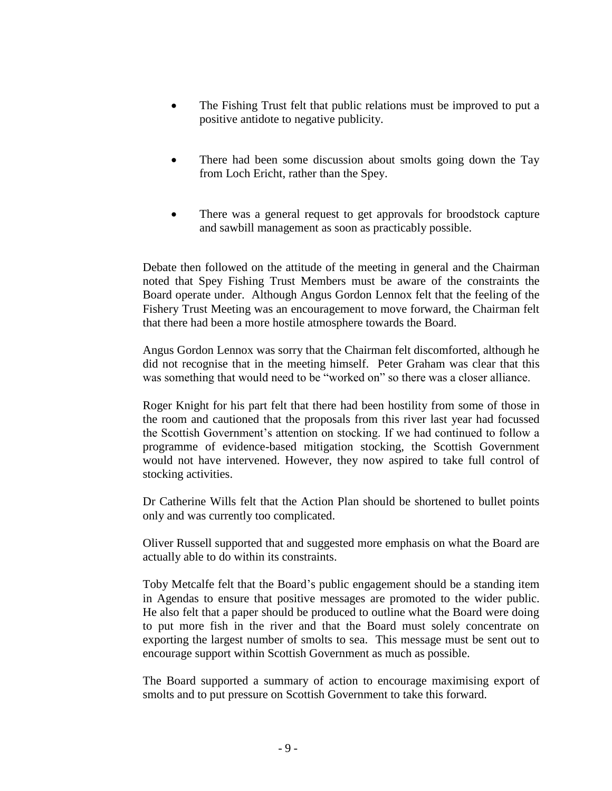- The Fishing Trust felt that public relations must be improved to put a positive antidote to negative publicity.
- There had been some discussion about smolts going down the Tay from Loch Ericht, rather than the Spey.
- There was a general request to get approvals for broodstock capture and sawbill management as soon as practicably possible.

Debate then followed on the attitude of the meeting in general and the Chairman noted that Spey Fishing Trust Members must be aware of the constraints the Board operate under. Although Angus Gordon Lennox felt that the feeling of the Fishery Trust Meeting was an encouragement to move forward, the Chairman felt that there had been a more hostile atmosphere towards the Board.

Angus Gordon Lennox was sorry that the Chairman felt discomforted, although he did not recognise that in the meeting himself. Peter Graham was clear that this was something that would need to be "worked on" so there was a closer alliance.

Roger Knight for his part felt that there had been hostility from some of those in the room and cautioned that the proposals from this river last year had focussed the Scottish Government's attention on stocking. If we had continued to follow a programme of evidence-based mitigation stocking, the Scottish Government would not have intervened. However, they now aspired to take full control of stocking activities.

Dr Catherine Wills felt that the Action Plan should be shortened to bullet points only and was currently too complicated.

Oliver Russell supported that and suggested more emphasis on what the Board are actually able to do within its constraints.

Toby Metcalfe felt that the Board's public engagement should be a standing item in Agendas to ensure that positive messages are promoted to the wider public. He also felt that a paper should be produced to outline what the Board were doing to put more fish in the river and that the Board must solely concentrate on exporting the largest number of smolts to sea. This message must be sent out to encourage support within Scottish Government as much as possible.

The Board supported a summary of action to encourage maximising export of smolts and to put pressure on Scottish Government to take this forward.